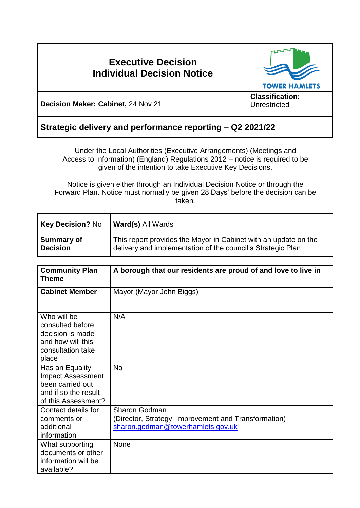# **Executive Decision Individual Decision Notice**



**Decision Maker: Cabinet,** 24 Nov 21

**Unrestricted** 

# **Strategic delivery and performance reporting – Q2 2021/22**

Under the Local Authorities (Executive Arrangements) (Meetings and Access to Information) (England) Regulations 2012 – notice is required to be given of the intention to take Executive Key Decisions.

Notice is given either through an Individual Decision Notice or through the Forward Plan. Notice must normally be given 28 Days' before the decision can be taken.

| <b>Key Decision? No</b> | <b>Ward(s) All Wards</b>                                        |
|-------------------------|-----------------------------------------------------------------|
| <b>Summary of</b>       | This report provides the Mayor in Cabinet with an update on the |
| <b>Decision</b>         | delivery and implementation of the council's Strategic Plan     |

| <b>Community Plan</b><br><b>Theme</b>                                                                          | A borough that our residents are proud of and love to live in                                                     |
|----------------------------------------------------------------------------------------------------------------|-------------------------------------------------------------------------------------------------------------------|
| <b>Cabinet Member</b>                                                                                          | Mayor (Mayor John Biggs)                                                                                          |
| Who will be<br>consulted before<br>decision is made<br>and how will this<br>consultation take<br>place         | N/A                                                                                                               |
| Has an Equality<br><b>Impact Assessment</b><br>been carried out<br>and if so the result<br>of this Assessment? | <b>No</b>                                                                                                         |
| Contact details for<br>comments or<br>additional<br>information                                                | <b>Sharon Godman</b><br>(Director, Strategy, Improvement and Transformation)<br>sharon.godman@towerhamlets.gov.uk |
| What supporting<br>documents or other<br>information will be<br>available?                                     | None                                                                                                              |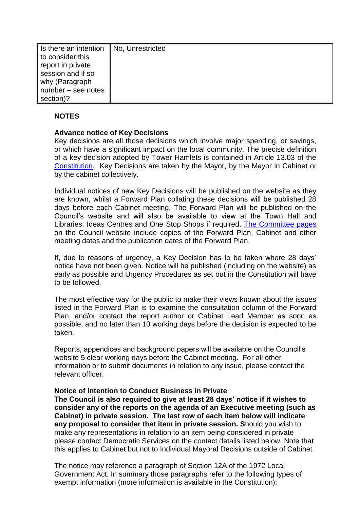| Is there an intention | No. Unrestricted |
|-----------------------|------------------|
| to consider this      |                  |
| report in private     |                  |
| session and if so     |                  |
| why (Paragraph        |                  |
| number – see notes    |                  |
| section)?             |                  |

## **NOTES**

### **Advance notice of Key Decisions**

Key decisions are all those decisions which involve major spending, or savings, or which have a significant impact on the local community. The precise definition of a key decision adopted by Tower Hamlets is contained in Article 13.03 of the [Constitution.](http://democracy.towerhamlets.gov.uk/ieListMeetings.aspx?CId=663&Year=0&info=1&MD=Constitution) Key Decisions are taken by the Mayor, by the Mayor in Cabinet or by the cabinet collectively.

Individual notices of new Key Decisions will be published on the website as they are known, whilst a Forward Plan collating these decisions will be published 28 days before each Cabinet meeting. The Forward Plan will be published on the Council's website and will also be available to view at the Town Hall and Libraries, Ideas Centres and One Stop Shops if required. [The Committee pages](https://democracy.towerhamlets.gov.uk/uuCoverPage.aspx?bcr=1) on the Council website include copies of the Forward Plan, Cabinet and other meeting dates and the publication dates of the Forward Plan.

If, due to reasons of urgency, a Key Decision has to be taken where 28 days' notice have not been given. Notice will be published (including on the website) as early as possible and Urgency Procedures as set out in the Constitution will have to be followed.

The most effective way for the public to make their views known about the issues listed in the Forward Plan is to examine the consultation column of the Forward Plan, and/or contact the report author or Cabinet Lead Member as soon as possible, and no later than 10 working days before the decision is expected to be taken.

Reports, appendices and background papers will be available on the Council's website 5 clear working days before the Cabinet meeting. For all other information or to submit documents in relation to any issue, please contact the relevant officer.

#### **Notice of Intention to Conduct Business in Private**

**The Council is also required to give at least 28 days' notice if it wishes to consider any of the reports on the agenda of an Executive meeting (such as Cabinet) in private session. The last row of each item below will indicate any proposal to consider that item in private session. S**hould you wish to make any representations in relation to an item being considered in private please contact Democratic Services on the contact details listed below. Note that this applies to Cabinet but not to Individual Mayoral Decisions outside of Cabinet.

The notice may reference a paragraph of Section 12A of the 1972 Local Government Act. In summary those paragraphs refer to the following types of exempt information (more information is available in the Constitution):